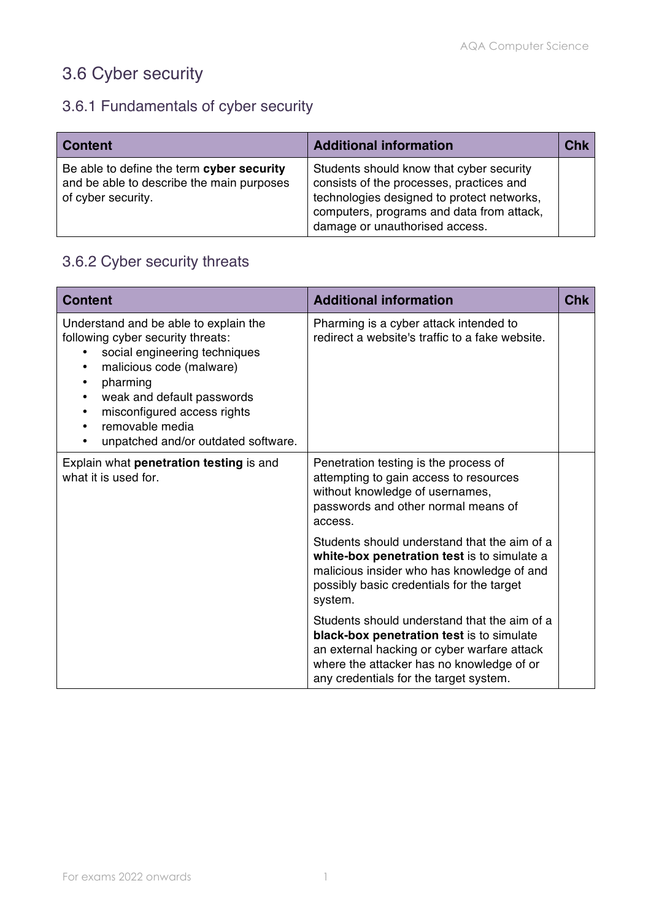# 3.6 Cyber security

## 3.6.1 Fundamentals of cyber security

| <b>Content</b>                                                                                               | <b>Additional information</b>                                                                                                                                                                                     | <b>Chk</b> |
|--------------------------------------------------------------------------------------------------------------|-------------------------------------------------------------------------------------------------------------------------------------------------------------------------------------------------------------------|------------|
| Be able to define the term cyber security<br>and be able to describe the main purposes<br>of cyber security. | Students should know that cyber security<br>consists of the processes, practices and<br>technologies designed to protect networks,<br>computers, programs and data from attack,<br>damage or unauthorised access. |            |

## 3.6.2 Cyber security threats

| <b>Content</b>                                                                                                                                                                                                                                                                                                                                           | <b>Additional information</b>                                                                                                                                                                                                   | <b>Chk</b> |
|----------------------------------------------------------------------------------------------------------------------------------------------------------------------------------------------------------------------------------------------------------------------------------------------------------------------------------------------------------|---------------------------------------------------------------------------------------------------------------------------------------------------------------------------------------------------------------------------------|------------|
| Understand and be able to explain the<br>following cyber security threats:<br>social engineering techniques<br>malicious code (malware)<br>$\bullet$<br>pharming<br>$\bullet$<br>weak and default passwords<br>$\bullet$<br>misconfigured access rights<br>$\bullet$<br>removable media<br>$\bullet$<br>unpatched and/or outdated software.<br>$\bullet$ | Pharming is a cyber attack intended to<br>redirect a website's traffic to a fake website.                                                                                                                                       |            |
| Explain what penetration testing is and<br>what it is used for.                                                                                                                                                                                                                                                                                          | Penetration testing is the process of<br>attempting to gain access to resources<br>without knowledge of usernames,<br>passwords and other normal means of<br>access.                                                            |            |
|                                                                                                                                                                                                                                                                                                                                                          | Students should understand that the aim of a<br>white-box penetration test is to simulate a<br>malicious insider who has knowledge of and<br>possibly basic credentials for the target<br>system.                               |            |
|                                                                                                                                                                                                                                                                                                                                                          | Students should understand that the aim of a<br>black-box penetration test is to simulate<br>an external hacking or cyber warfare attack<br>where the attacker has no knowledge of or<br>any credentials for the target system. |            |